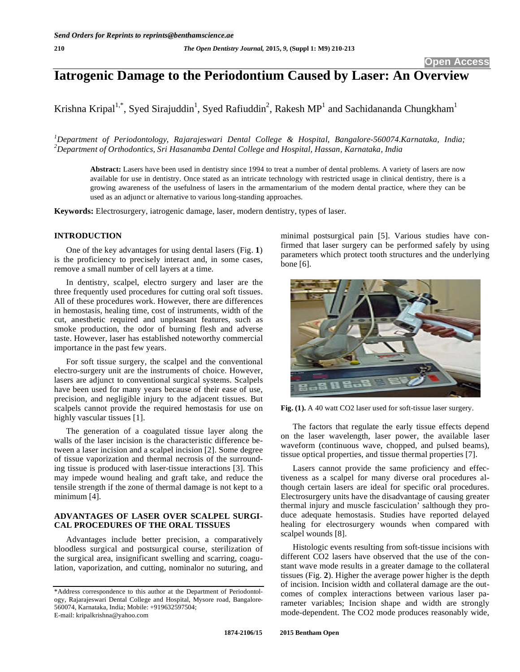# **Iatrogenic Damage to the Periodontium Caused by Laser: An Overview**

Krishna Kripal<sup>1,\*</sup>, Syed Sirajuddin<sup>1</sup>, Syed Rafiuddin<sup>2</sup>, Rakesh MP<sup>1</sup> and Sachidananda Chungkham<sup>1</sup>

*1 Department of Periodontology, Rajarajeswari Dental College & Hospital, Bangalore-560074.Karnataka, India; 2 Department of Orthodontics, Sri Hasanamba Dental College and Hospital, Hassan, Karnataka, India* 

**Abstract:** Lasers have been used in dentistry since 1994 to treat a number of dental problems. A variety of lasers are now available for use in dentistry. Once stated as an intricate technology with restricted usage in clinical dentistry, there is a growing awareness of the usefulness of lasers in the armamentarium of the modern dental practice, where they can be used as an adjunct or alternative to various long-standing approaches.

**Keywords:** Electrosurgery, iatrogenic damage, laser, modern dentistry, types of laser.

# **INTRODUCTION**

One of the key advantages for using dental lasers (Fig. **1**) is the proficiency to precisely interact and, in some cases, remove a small number of cell layers at a time.

In dentistry, scalpel, electro surgery and laser are the three frequently used procedures for cutting oral soft tissues. All of these procedures work. However, there are differences in hemostasis, healing time, cost of instruments, width of the cut, anesthetic required and unpleasant features, such as smoke production, the odor of burning flesh and adverse taste. However, laser has established noteworthy commercial importance in the past few years.

For soft tissue surgery, the scalpel and the conventional electro-surgery unit are the instruments of choice. However, lasers are adjunct to conventional surgical systems. Scalpels have been used for many years because of their ease of use, precision, and negligible injury to the adjacent tissues. But scalpels cannot provide the required hemostasis for use on highly vascular tissues [1].

The generation of a coagulated tissue layer along the walls of the laser incision is the characteristic difference between a laser incision and a scalpel incision [2]. Some degree of tissue vaporization and thermal necrosis of the surrounding tissue is produced with laser-tissue interactions [3]. This may impede wound healing and graft take, and reduce the tensile strength if the zone of thermal damage is not kept to a minimum [4].

# **ADVANTAGES OF LASER OVER SCALPEL SURGI-CAL PROCEDURES OF THE ORAL TISSUES**

Advantages include better precision, a comparatively bloodless surgical and postsurgical course, sterilization of the surgical area, insignificant swelling and scarring, coagulation, vaporization, and cutting, nominalor no suturing, and

minimal postsurgical pain [5]. Various studies have confirmed that laser surgery can be performed safely by using parameters which protect tooth structures and the underlying bone [6].



**Fig. (1).** A 40 watt CO2 laser used for soft-tissue laser surgery.

The factors that regulate the early tissue effects depend on the laser wavelength, laser power, the available laser waveform (continuous wave, chopped, and pulsed beams), tissue optical properties, and tissue thermal properties [7].

Lasers cannot provide the same proficiency and effectiveness as a scalpel for many diverse oral procedures although certain lasers are ideal for specific oral procedures. Electrosurgery units have the disadvantage of causing greater thermal injury and muscle fasciculation' salthough they produce adequate hemostasis. Studies have reported delayed healing for electrosurgery wounds when compared with scalpel wounds [8].

Histologic events resulting from soft-tissue incisions with different CO2 lasers have observed that the use of the constant wave mode results in a greater damage to the collateral tissues (Fig. **2**). Higher the average power higher is the depth of incision. Incision width and collateral damage are the outcomes of complex interactions between various laser parameter variables; Incision shape and width are strongly mode-dependent. The CO2 mode produces reasonably wide,

<sup>\*</sup>Address correspondence to this author at the Department of Periodontology, Rajarajeswari Dental College and Hospital, Mysore road, Bangalore-560074, Karnataka, India; Mobile: +919632597504; E-mail: kripalkrishna@yahoo.com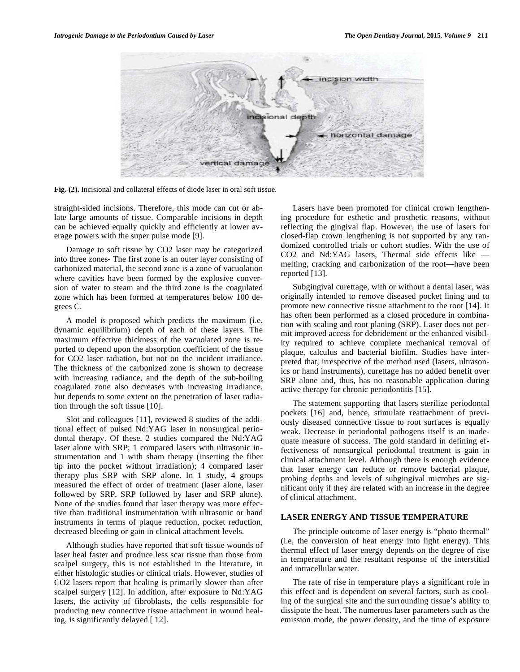

**Fig. (2).** Incisional and collateral effects of diode laser in oral soft tissue.

straight-sided incisions. Therefore, this mode can cut or ablate large amounts of tissue. Comparable incisions in depth can be achieved equally quickly and efficiently at lower average powers with the super pulse mode [9].

Damage to soft tissue by CO2 laser may be categorized into three zones- The first zone is an outer layer consisting of carbonized material, the second zone is a zone of vacuolation where cavities have been formed by the explosive conversion of water to steam and the third zone is the coagulated zone which has been formed at temperatures below 100 degrees C.

A model is proposed which predicts the maximum (i.e. dynamic equilibrium) depth of each of these layers. The maximum effective thickness of the vacuolated zone is reported to depend upon the absorption coefficient of the tissue for CO2 laser radiation, but not on the incident irradiance. The thickness of the carbonized zone is shown to decrease with increasing radiance, and the depth of the sub-boiling coagulated zone also decreases with increasing irradiance, but depends to some extent on the penetration of laser radiation through the soft tissue [10].

Slot and colleagues [11], reviewed 8 studies of the additional effect of pulsed Nd:YAG laser in nonsurgical periodontal therapy. Of these, 2 studies compared the Nd:YAG laser alone with SRP; 1 compared lasers with ultrasonic instrumentation and 1 with sham therapy (inserting the fiber tip into the pocket without irradiation); 4 compared laser therapy plus SRP with SRP alone. In 1 study, 4 groups measured the effect of order of treatment (laser alone, laser followed by SRP, SRP followed by laser and SRP alone). None of the studies found that laser therapy was more effective than traditional instrumentation with ultrasonic or hand instruments in terms of plaque reduction, pocket reduction, decreased bleeding or gain in clinical attachment levels.

Although studies have reported that soft tissue wounds of laser heal faster and produce less scar tissue than those from scalpel surgery, this is not established in the literature, in either histologic studies or clinical trials. However, studies of CO2 lasers report that healing is primarily slower than after scalpel surgery [12]. In addition, after exposure to Nd:YAG lasers, the activity of fibroblasts, the cells responsible for producing new connective tissue attachment in wound healing, is significantly delayed [ 12].

Lasers have been promoted for clinical crown lengthening procedure for esthetic and prosthetic reasons, without reflecting the gingival flap. However, the use of lasers for closed-flap crown lengthening is not supported by any randomized controlled trials or cohort studies. With the use of CO2 and Nd:YAG lasers, Thermal side effects like melting, cracking and carbonization of the root—have been reported [13].

Subgingival curettage, with or without a dental laser, was originally intended to remove diseased pocket lining and to promote new connective tissue attachment to the root [14]. It has often been performed as a closed procedure in combination with scaling and root planing (SRP). Laser does not permit improved access for debridement or the enhanced visibility required to achieve complete mechanical removal of plaque, calculus and bacterial biofilm. Studies have interpreted that, irrespective of the method used (lasers, ultrasonics or hand instruments), curettage has no added benefit over SRP alone and, thus, has no reasonable application during active therapy for chronic periodontitis [15].

The statement supporting that lasers sterilize periodontal pockets [16] and, hence, stimulate reattachment of previously diseased connective tissue to root surfaces is equally weak. Decrease in periodontal pathogens itself is an inadequate measure of success. The gold standard in defining effectiveness of nonsurgical periodontal treatment is gain in clinical attachment level. Although there is enough evidence that laser energy can reduce or remove bacterial plaque, probing depths and levels of subgingival microbes are significant only if they are related with an increase in the degree of clinical attachment.

#### **LASER ENERGY AND TISSUE TEMPERATURE**

The principle outcome of laser energy is "photo thermal" (i.e, the conversion of heat energy into light energy). This thermal effect of laser energy depends on the degree of rise in temperature and the resultant response of the interstitial and intracellular water.

The rate of rise in temperature plays a significant role in this effect and is dependent on several factors, such as cooling of the surgical site and the surrounding tissue's ability to dissipate the heat. The numerous laser parameters such as the emission mode, the power density, and the time of exposure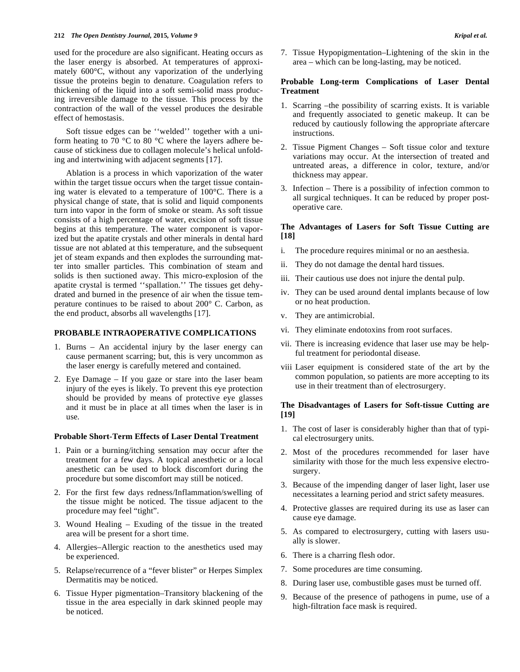used for the procedure are also significant. Heating occurs as the laser energy is absorbed. At temperatures of approximately 600°C, without any vaporization of the underlying tissue the proteins begin to denature. Coagulation refers to thickening of the liquid into a soft semi-solid mass producing irreversible damage to the tissue. This process by the contraction of the wall of the vessel produces the desirable effect of hemostasis.

Soft tissue edges can be ''welded'' together with a uniform heating to 70 °C to 80 °C where the layers adhere because of stickiness due to collagen molecule's helical unfolding and intertwining with adjacent segments [17].

Ablation is a process in which vaporization of the water within the target tissue occurs when the target tissue containing water is elevated to a temperature of 100°C. There is a physical change of state, that is solid and liquid components turn into vapor in the form of smoke or steam. As soft tissue consists of a high percentage of water, excision of soft tissue begins at this temperature. The water component is vaporized but the apatite crystals and other minerals in dental hard tissue are not ablated at this temperature, and the subsequent jet of steam expands and then explodes the surrounding matter into smaller particles. This combination of steam and solids is then suctioned away. This micro-explosion of the apatite crystal is termed ''spallation.'' The tissues get dehydrated and burned in the presence of air when the tissue temperature continues to be raised to about 200° C. Carbon, as the end product, absorbs all wavelengths [17].

# **PROBABLE INTRAOPERATIVE COMPLICATIONS**

- 1. Burns An accidental injury by the laser energy can cause permanent scarring; but, this is very uncommon as the laser energy is carefully metered and contained.
- 2. Eye Damage If you gaze or stare into the laser beam injury of the eyes is likely. To prevent this eye protection should be provided by means of protective eye glasses and it must be in place at all times when the laser is in use.

## **Probable Short-Term Effects of Laser Dental Treatment**

- 1. Pain or a burning/itching sensation may occur after the treatment for a few days. A topical anesthetic or a local anesthetic can be used to block discomfort during the procedure but some discomfort may still be noticed.
- 2. For the first few days redness/Inflammation/swelling of the tissue might be noticed. The tissue adjacent to the procedure may feel "tight".
- 3. Wound Healing Exuding of the tissue in the treated area will be present for a short time.
- 4. Allergies–Allergic reaction to the anesthetics used may be experienced.
- 5. Relapse/recurrence of a "fever blister" or Herpes Simplex Dermatitis may be noticed.
- 6. Tissue Hyper pigmentation–Transitory blackening of the tissue in the area especially in dark skinned people may be noticed.

7. Tissue Hypopigmentation–Lightening of the skin in the area – which can be long-lasting, may be noticed.

#### **Probable Long-term Complications of Laser Dental Treatment**

- 1. Scarring –the possibility of scarring exists. It is variable and frequently associated to genetic makeup. It can be reduced by cautiously following the appropriate aftercare instructions.
- 2. Tissue Pigment Changes Soft tissue color and texture variations may occur. At the intersection of treated and untreated areas, a difference in color, texture, and/or thickness may appear.
- 3. Infection There is a possibility of infection common to all surgical techniques. It can be reduced by proper postoperative care.

# **The Advantages of Lasers for Soft Tissue Cutting are [18]**

- i. The procedure requires minimal or no an aesthesia.
- ii. They do not damage the dental hard tissues.
- iii. Their cautious use does not injure the dental pulp.
- iv. They can be used around dental implants because of low or no heat production.
- v. They are antimicrobial.
- vi. They eliminate endotoxins from root surfaces.
- vii. There is increasing evidence that laser use may be helpful treatment for periodontal disease.
- viii Laser equipment is considered state of the art by the common population, so patients are more accepting to its use in their treatment than of electrosurgery.

# **The Disadvantages of Lasers for Soft-tissue Cutting are [19]**

- 1. The cost of laser is considerably higher than that of typical electrosurgery units.
- 2. Most of the procedures recommended for laser have similarity with those for the much less expensive electrosurgery.
- 3. Because of the impending danger of laser light, laser use necessitates a learning period and strict safety measures.
- 4. Protective glasses are required during its use as laser can cause eye damage.
- 5. As compared to electrosurgery, cutting with lasers usually is slower.
- 6. There is a charring flesh odor.
- 7. Some procedures are time consuming.
- 8. During laser use, combustible gases must be turned off.
- 9. Because of the presence of pathogens in pume, use of a high-filtration face mask is required.